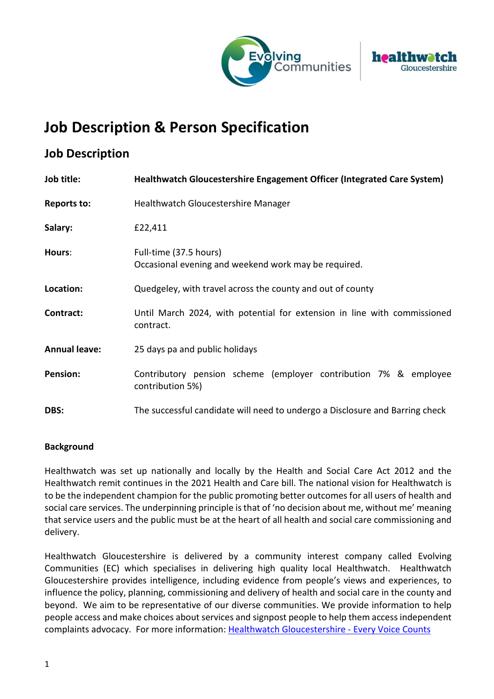



# **Job Description & Person Specification**

# **Job Description**

| Job title:           | Healthwatch Gloucestershire Engagement Officer (Integrated Care System)               |  |
|----------------------|---------------------------------------------------------------------------------------|--|
| <b>Reports to:</b>   | Healthwatch Gloucestershire Manager                                                   |  |
| Salary:              | £22,411                                                                               |  |
| Hours:               | Full-time (37.5 hours)<br>Occasional evening and weekend work may be required.        |  |
| Location:            | Quedgeley, with travel across the county and out of county                            |  |
| Contract:            | Until March 2024, with potential for extension in line with commissioned<br>contract. |  |
| <b>Annual leave:</b> | 25 days pa and public holidays                                                        |  |
| <b>Pension:</b>      | Contributory pension scheme (employer contribution 7% & employee<br>contribution 5%)  |  |
| DBS:                 | The successful candidate will need to undergo a Disclosure and Barring check          |  |

## **Background**

Healthwatch was set up nationally and locally by the Health and Social Care Act 2012 and the Healthwatch remit continues in the 2021 Health and Care bill. The national vision for Healthwatch is to be the independent champion for the public promoting better outcomes for all users of health and social care services. The underpinning principle is that of 'no decision about me, without me' meaning that service users and the public must be at the heart of all health and social care commissioning and delivery.

Healthwatch Gloucestershire is delivered by a community interest company called Evolving Communities (EC) which specialises in delivering high quality local Healthwatch. Healthwatch Gloucestershire provides intelligence, including evidence from people's views and experiences, to influence the policy, planning, commissioning and delivery of health and social care in the county and beyond. We aim to be representative of our diverse communities. We provide information to help people access and make choices about services and signpost people to help them access independent complaints advocacy. For more information: [Healthwatch Gloucestershire - Every Voice Counts](https://www.healthwatchgloucestershire.co.uk/)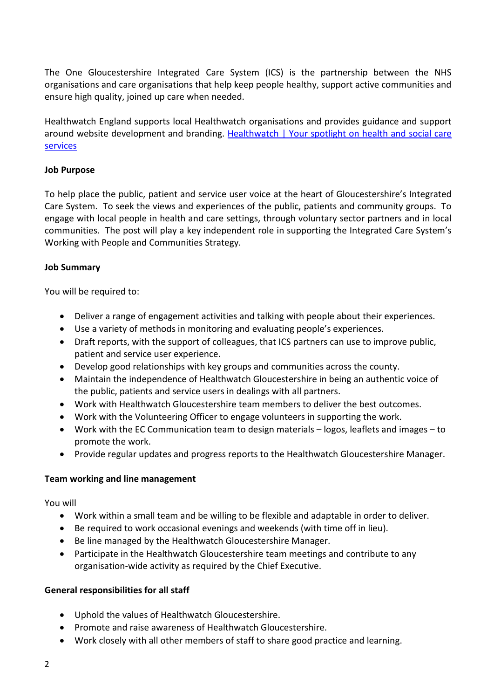The One Gloucestershire Integrated Care System (ICS) is the partnership between the NHS organisations and care organisations that help keep people healthy, support active communities and ensure high quality, joined up care when needed.

Healthwatch England supports local Healthwatch organisations and provides guidance and support around website development and branding. [Healthwatch | Your spotlight on health and social care](https://www.healthwatch.co.uk/)  [services](https://www.healthwatch.co.uk/)

## **Job Purpose**

To help place the public, patient and service user voice at the heart of Gloucestershire's Integrated Care System. To seek the views and experiences of the public, patients and community groups. To engage with local people in health and care settings, through voluntary sector partners and in local communities. The post will play a key independent role in supporting the Integrated Care System's Working with People and Communities Strategy.

### **Job Summary**

You will be required to:

- Deliver a range of engagement activities and talking with people about their experiences.
- Use a variety of methods in monitoring and evaluating people's experiences.
- Draft reports, with the support of colleagues, that ICS partners can use to improve public, patient and service user experience.
- Develop good relationships with key groups and communities across the county.
- Maintain the independence of Healthwatch Gloucestershire in being an authentic voice of the public, patients and service users in dealings with all partners.
- Work with Healthwatch Gloucestershire team members to deliver the best outcomes.
- Work with the Volunteering Officer to engage volunteers in supporting the work.
- Work with the EC Communication team to design materials logos, leaflets and images to promote the work.
- Provide regular updates and progress reports to the Healthwatch Gloucestershire Manager.

#### **Team working and line management**

#### You will

- Work within a small team and be willing to be flexible and adaptable in order to deliver.
- Be required to work occasional evenings and weekends (with time off in lieu).
- Be line managed by the Healthwatch Gloucestershire Manager.
- Participate in the Healthwatch Gloucestershire team meetings and contribute to any organisation-wide activity as required by the Chief Executive.

#### **General responsibilities for all staff**

- Uphold the values of Healthwatch Gloucestershire.
- Promote and raise awareness of Healthwatch Gloucestershire.
- Work closely with all other members of staff to share good practice and learning.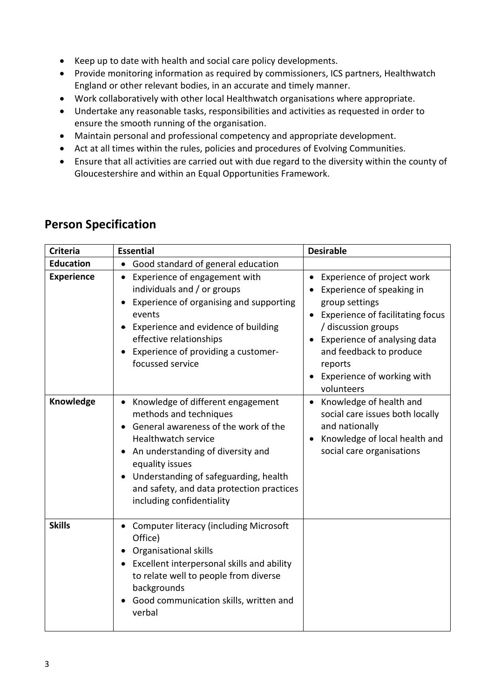- Keep up to date with health and social care policy developments.
- Provide monitoring information as required by commissioners, ICS partners, Healthwatch England or other relevant bodies, in an accurate and timely manner.
- Work collaboratively with other local Healthwatch organisations where appropriate.
- Undertake any reasonable tasks, responsibilities and activities as requested in order to ensure the smooth running of the organisation.
- Maintain personal and professional competency and appropriate development.
- Act at all times within the rules, policies and procedures of Evolving Communities.
- Ensure that all activities are carried out with due regard to the diversity within the county of Gloucestershire and within an Equal Opportunities Framework.

| <b>Criteria</b>   | <b>Essential</b>                                                                                                                                                                                                                                                                                                     | <b>Desirable</b>                                                                                                                                                                                                                                                |
|-------------------|----------------------------------------------------------------------------------------------------------------------------------------------------------------------------------------------------------------------------------------------------------------------------------------------------------------------|-----------------------------------------------------------------------------------------------------------------------------------------------------------------------------------------------------------------------------------------------------------------|
| <b>Education</b>  | Good standard of general education<br>$\bullet$                                                                                                                                                                                                                                                                      |                                                                                                                                                                                                                                                                 |
| <b>Experience</b> | Experience of engagement with<br>$\bullet$<br>individuals and / or groups<br>Experience of organising and supporting<br>$\bullet$<br>events<br>Experience and evidence of building<br>effective relationships<br>Experience of providing a customer-<br>focussed service                                             | Experience of project work<br>Experience of speaking in<br>group settings<br><b>Experience of facilitating focus</b><br>/ discussion groups<br>• Experience of analysing data<br>and feedback to produce<br>reports<br>Experience of working with<br>volunteers |
| Knowledge         | Knowledge of different engagement<br>methods and techniques<br>General awareness of the work of the<br>Healthwatch service<br>• An understanding of diversity and<br>equality issues<br>Understanding of safeguarding, health<br>$\bullet$<br>and safety, and data protection practices<br>including confidentiality | Knowledge of health and<br>social care issues both locally<br>and nationally<br>Knowledge of local health and<br>social care organisations                                                                                                                      |
| <b>Skills</b>     | <b>Computer literacy (including Microsoft</b><br>Office)<br>Organisational skills<br>Excellent interpersonal skills and ability<br>to relate well to people from diverse<br>backgrounds<br>Good communication skills, written and<br>verbal                                                                          |                                                                                                                                                                                                                                                                 |

# **Person Specification**